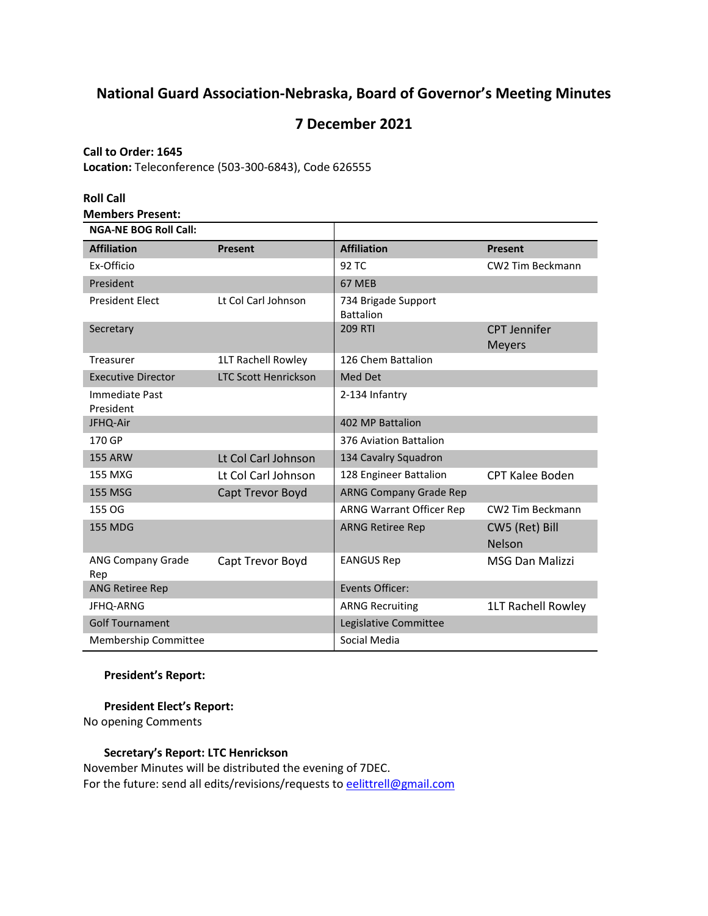# **National Guard Association-Nebraska, Board of Governor's Meeting Minutes**

## **7 December 2021**

## **Call to Order: 1645**

**Location:** Teleconference (503-300-6843), Code 626555

| <b>Roll Call</b>                                        |                             |                                         |                                      |
|---------------------------------------------------------|-----------------------------|-----------------------------------------|--------------------------------------|
| <b>Members Present:</b><br><b>NGA-NE BOG Roll Call:</b> |                             |                                         |                                      |
| <b>Affiliation</b>                                      | <b>Present</b>              | <b>Affiliation</b>                      | <b>Present</b>                       |
| Ex-Officio                                              |                             | 92 TC                                   | CW2 Tim Beckmann                     |
| President                                               |                             | 67 MEB                                  |                                      |
| <b>President Elect</b>                                  | Lt Col Carl Johnson         | 734 Brigade Support<br><b>Battalion</b> |                                      |
| Secretary                                               |                             | <b>209 RTI</b>                          | <b>CPT Jennifer</b><br><b>Meyers</b> |
| Treasurer                                               | 1LT Rachell Rowley          | 126 Chem Battalion                      |                                      |
| <b>Executive Director</b>                               | <b>LTC Scott Henrickson</b> | Med Det                                 |                                      |
| Immediate Past<br>President                             |                             | 2-134 Infantry                          |                                      |
| JFHQ-Air                                                |                             | 402 MP Battalion                        |                                      |
| 170 GP                                                  |                             | 376 Aviation Battalion                  |                                      |
| <b>155 ARW</b>                                          | Lt Col Carl Johnson         | 134 Cavalry Squadron                    |                                      |
| 155 MXG                                                 | Lt Col Carl Johnson         | 128 Engineer Battalion                  | <b>CPT Kalee Boden</b>               |
| <b>155 MSG</b>                                          | Capt Trevor Boyd            | <b>ARNG Company Grade Rep</b>           |                                      |
| 155 OG                                                  |                             | ARNG Warrant Officer Rep                | CW2 Tim Beckmann                     |
| <b>155 MDG</b>                                          |                             | <b>ARNG Retiree Rep</b>                 | CW5 (Ret) Bill<br><b>Nelson</b>      |
| <b>ANG Company Grade</b><br>Rep                         | Capt Trevor Boyd            | <b>EANGUS Rep</b>                       | <b>MSG Dan Malizzi</b>               |
| <b>ANG Retiree Rep</b>                                  |                             | Events Officer:                         |                                      |
| JFHQ-ARNG                                               |                             | <b>ARNG Recruiting</b>                  | 1LT Rachell Rowley                   |
| <b>Golf Tournament</b>                                  |                             | Legislative Committee                   |                                      |
| <b>Membership Committee</b>                             |                             | Social Media                            |                                      |

## **President's Report:**

**President Elect's Report:** 

No opening Comments

## **Secretary's Report: LTC Henrickson**

November Minutes will be distributed the evening of 7DEC. For the future: send all edits/revisions/requests t[o eelittrell@gmail.com](mailto:eelittrell@gmail.com)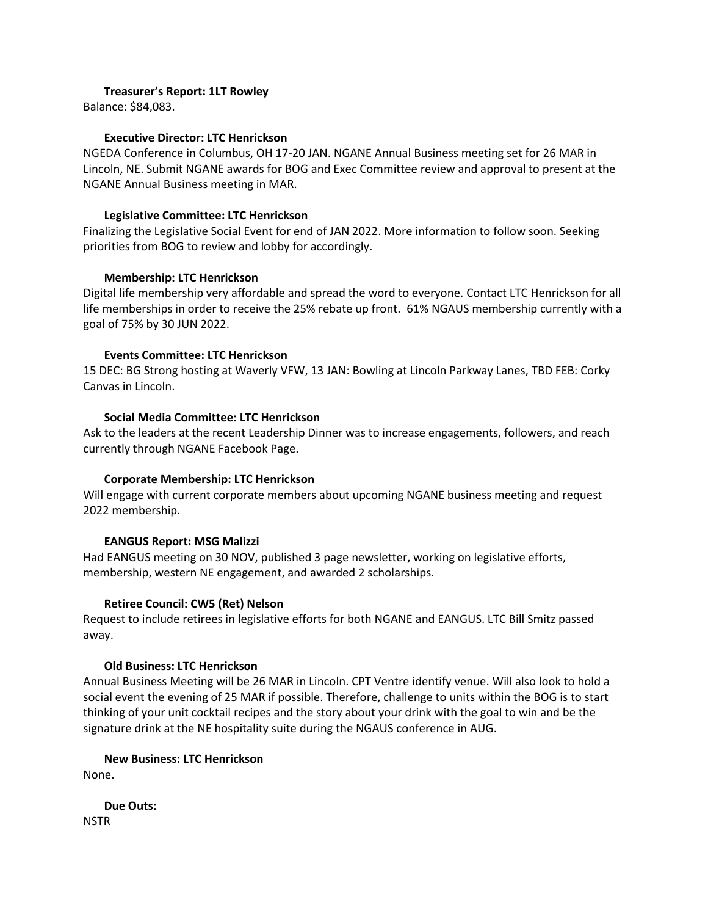### **Treasurer's Report: 1LT Rowley**

Balance: \$84,083.

#### **Executive Director: LTC Henrickson**

NGEDA Conference in Columbus, OH 17-20 JAN. NGANE Annual Business meeting set for 26 MAR in Lincoln, NE. Submit NGANE awards for BOG and Exec Committee review and approval to present at the NGANE Annual Business meeting in MAR.

## **Legislative Committee: LTC Henrickson**

Finalizing the Legislative Social Event for end of JAN 2022. More information to follow soon. Seeking priorities from BOG to review and lobby for accordingly.

## **Membership: LTC Henrickson**

Digital life membership very affordable and spread the word to everyone. Contact LTC Henrickson for all life memberships in order to receive the 25% rebate up front. 61% NGAUS membership currently with a goal of 75% by 30 JUN 2022.

#### **Events Committee: LTC Henrickson**

15 DEC: BG Strong hosting at Waverly VFW, 13 JAN: Bowling at Lincoln Parkway Lanes, TBD FEB: Corky Canvas in Lincoln.

## **Social Media Committee: LTC Henrickson**

Ask to the leaders at the recent Leadership Dinner was to increase engagements, followers, and reach currently through NGANE Facebook Page.

## **Corporate Membership: LTC Henrickson**

Will engage with current corporate members about upcoming NGANE business meeting and request 2022 membership.

## **EANGUS Report: MSG Malizzi**

Had EANGUS meeting on 30 NOV, published 3 page newsletter, working on legislative efforts, membership, western NE engagement, and awarded 2 scholarships.

## **Retiree Council: CW5 (Ret) Nelson**

Request to include retirees in legislative efforts for both NGANE and EANGUS. LTC Bill Smitz passed away.

#### **Old Business: LTC Henrickson**

Annual Business Meeting will be 26 MAR in Lincoln. CPT Ventre identify venue. Will also look to hold a social event the evening of 25 MAR if possible. Therefore, challenge to units within the BOG is to start thinking of your unit cocktail recipes and the story about your drink with the goal to win and be the signature drink at the NE hospitality suite during the NGAUS conference in AUG.

#### **New Business: LTC Henrickson**

None.

**Due Outs: NSTR**